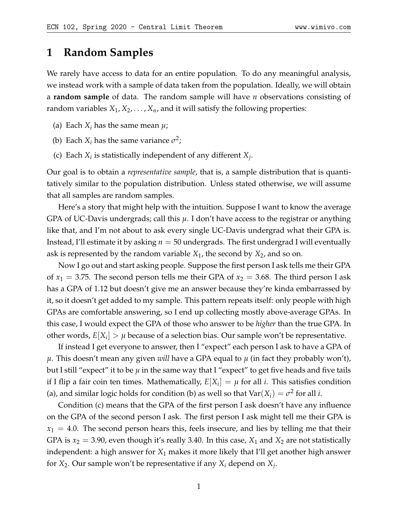# **1 Random Samples**

We rarely have access to data for an entire population. To do any meaningful analysis, we instead work with a sample of data taken from the population. Ideally, we will obtain a **random sample** of data. The random sample will have *n* observations consisting of random variables  $X_1, X_2, \ldots, X_n$ , and it will satisfy the following properties:

- (a) Each  $X_i$  has the same mean  $\mu$ ;
- (b) Each  $X_i$  has the same variance  $\sigma^2$ ;
- (c) Each  $X_i$  is statistically independent of any different  $X_j$ .

Our goal is to obtain a *representative sample*, that is, a sample distribution that is quantitatively similar to the population distribution. Unless stated otherwise, we will assume that all samples are random samples.

Here's a story that might help with the intuition. Suppose I want to know the average GPA of UC-Davis undergrads; call this *µ*. I don't have access to the registrar or anything like that, and I'm not about to ask every single UC-Davis undergrad what their GPA is. Instead, I'll estimate it by asking *n* = 50 undergrads. The first undergrad I will eventually ask is represented by the random variable *X*1, the second by *X*2, and so on.

Now I go out and start asking people. Suppose the first person I ask tells me their GPA of  $x_1 = 3.75$ . The second person tells me their GPA of  $x_2 = 3.68$ . The third person I ask has a GPA of 1.12 but doesn't give me an answer because they're kinda embarrassed by it, so it doesn't get added to my sample. This pattern repeats itself: only people with high GPAs are comfortable answering, so I end up collecting mostly above-average GPAs. In this case, I would expect the GPA of those who answer to be *higher* than the true GPA. In other words,  $E[X_i] > \mu$  because of a selection bias. Our sample won't be representative.

If instead I get everyone to answer, then I "expect" each person I ask to have a GPA of *µ*. This doesn't mean any given *will* have a GPA equal to *µ* (in fact they probably won't), but I still "expect" it to be  $\mu$  in the same way that I "expect" to get five heads and five tails if I flip a fair coin ten times. Mathematically,  $E[X_i] = \mu$  for all *i*. This satisfies condition (a), and similar logic holds for condition (b) as well so that  $\text{Var}(X_i) = \sigma^2$  for all *i*.

Condition (c) means that the GPA of the first person I ask doesn't have any influence on the GPA of the second person I ask. The first person I ask might tell me their GPA is  $x_1 = 4.0$ . The second person hears this, feels insecure, and lies by telling me that their GPA is  $x_2 = 3.90$ , even though it's really 3.40. In this case,  $X_1$  and  $X_2$  are not statistically independent: a high answer for *X*<sup>1</sup> makes it more likely that I'll get another high answer for *X*2. Our sample won't be representative if any *X<sup>i</sup>* depend on *X<sup>j</sup>* .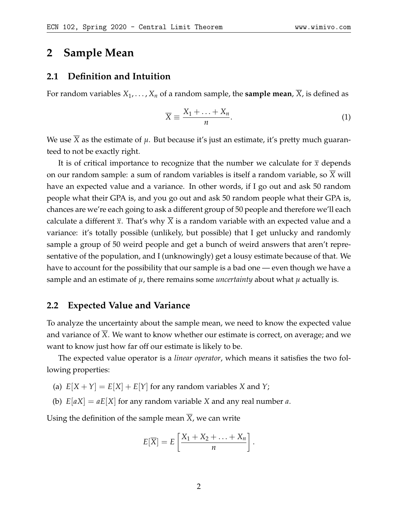## **2 Sample Mean**

### **2.1 Definition and Intuition**

For random variables  $X_1, \ldots, X_n$  of a random sample, the **sample mean**, *X*, is defined as

$$
\overline{X} \equiv \frac{X_1 + \ldots + X_n}{n}.
$$
 (1)

We use  $\overline{X}$  as the estimate of  $\mu$ . But because it's just an estimate, it's pretty much guaranteed to not be exactly right.

It is of critical importance to recognize that the number we calculate for  $\bar{x}$  depends on our random sample: a sum of random variables is itself a random variable, so *X* will have an expected value and a variance. In other words, if I go out and ask 50 random people what their GPA is, and you go out and ask 50 random people what their GPA is, chances are we're each going to ask a different group of 50 people and therefore we'll each calculate a different  $\bar{x}$ . That's why *X* is a random variable with an expected value and a variance: it's totally possible (unlikely, but possible) that I get unlucky and randomly sample a group of 50 weird people and get a bunch of weird answers that aren't representative of the population, and I (unknowingly) get a lousy estimate because of that. We have to account for the possibility that our sample is a bad one — even though we have a sample and an estimate of  $\mu$ , there remains some *uncertainty* about what  $\mu$  actually is.

#### **2.2 Expected Value and Variance**

To analyze the uncertainty about the sample mean, we need to know the expected value and variance of *X*. We want to know whether our estimate is correct, on average; and we want to know just how far off our estimate is likely to be.

The expected value operator is a *linear operator*, which means it satisfies the two following properties:

- (a)  $E[X + Y] = E[X] + E[Y]$  for any random variables *X* and *Y*;
- (b) *E*[*aX*] = *aE*[*X*] for any random variable *X* and any real number *a*.

Using the definition of the sample mean  $\overline{X}$ , we can write

$$
E[\overline{X}] = E\left[\frac{X_1 + X_2 + \ldots + X_n}{n}\right].
$$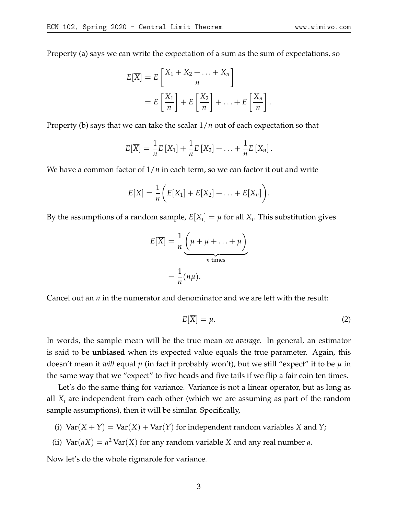Property (a) says we can write the expectation of a sum as the sum of expectations, so

$$
E[\overline{X}] = E\left[\frac{X_1 + X_2 + \dots + X_n}{n}\right]
$$

$$
= E\left[\frac{X_1}{n}\right] + E\left[\frac{X_2}{n}\right] + \dots + E\left[\frac{X_n}{n}\right]
$$

Property (b) says that we can take the scalar 1/*n* out of each expectation so that

$$
E[\overline{X}] = \frac{1}{n}E[X_1] + \frac{1}{n}E[X_2] + \ldots + \frac{1}{n}E[X_n].
$$

We have a common factor of  $1/n$  in each term, so we can factor it out and write

$$
E[\overline{X}] = \frac{1}{n} \bigg( E[X_1] + E[X_2] + \ldots + E[X_n] \bigg).
$$

By the assumptions of a random sample,  $E[X_i] = \mu$  for all  $X_i$ . This substitution gives

$$
E[\overline{X}] = \frac{1}{n} \underbrace{\left(\mu + \mu + \ldots + \mu\right)}_{n \text{ times}}
$$

$$
= \frac{1}{n} (n\mu).
$$

Cancel out an *n* in the numerator and denominator and we are left with the result:

$$
E[\overline{X}] = \mu. \tag{2}
$$

.

In words, the sample mean will be the true mean *on average*. In general, an estimator is said to be **unbiased** when its expected value equals the true parameter. Again, this doesn't mean it *will* equal *µ* (in fact it probably won't), but we still "expect" it to be *µ* in the same way that we "expect" to five heads and five tails if we flip a fair coin ten times.

Let's do the same thing for variance. Variance is not a linear operator, but as long as all *X<sup>i</sup>* are independent from each other (which we are assuming as part of the random sample assumptions), then it will be similar. Specifically,

- (i)  $Var(X + Y) = Var(X) + Var(Y)$  for independent random variables *X* and *Y*;
- (ii)  $\text{Var}(aX) = a^2 \text{Var}(X)$  for any random variable *X* and any real number *a*.

Now let's do the whole rigmarole for variance.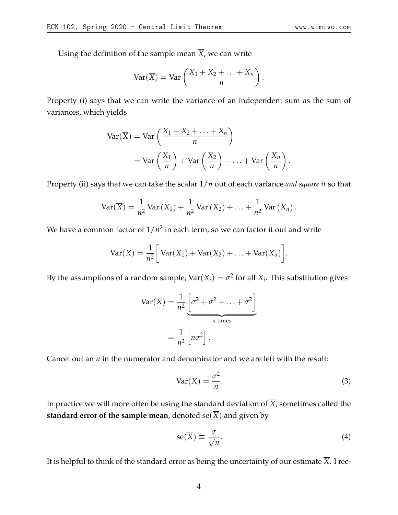Using the definition of the sample mean  $\overline{X}$ , we can write

$$
\operatorname{Var}(\overline{X}) = \operatorname{Var}\left(\frac{X_1 + X_2 + \ldots + X_n}{n}\right).
$$

Property (i) says that we can write the variance of an independent sum as the sum of variances, which yields

$$
\operatorname{Var}(\overline{X}) = \operatorname{Var}\left(\frac{X_1 + X_2 + \dots + X_n}{n}\right)
$$
  
= 
$$
\operatorname{Var}\left(\frac{X_1}{n}\right) + \operatorname{Var}\left(\frac{X_2}{n}\right) + \dots + \operatorname{Var}\left(\frac{X_n}{n}\right).
$$

Property (ii) says that we can take the scalar 1/*n* out of each variance *and square it* so that

$$
\text{Var}(\overline{X}) = \frac{1}{n^2} \text{Var}(X_1) + \frac{1}{n^2} \text{Var}(X_2) + \ldots + \frac{1}{n^2} \text{Var}(X_n).
$$

We have a common factor of  $1/n^2$  in each term, so we can factor it out and write

$$
Var(\overline{X}) = \frac{1}{n^2} \bigg[ Var(X_1) + Var(X_2) + \ldots + Var(X_n) \bigg].
$$

By the assumptions of a random sample, Var $(X_i) = \sigma^2$  for all  $X_i$ . This substitution gives

$$
Var(\overline{X}) = \frac{1}{n^2} \underbrace{\left[\sigma^2 + \sigma^2 + \dots + \sigma^2\right]}_{n \text{ times}}
$$

$$
= \frac{1}{n^2} \left[n\sigma^2\right].
$$

Cancel out an *n* in the numerator and denominator and we are left with the result:

$$
Var(\overline{X}) = \frac{\sigma^2}{n}.
$$
 (3)

In practice we will more often be using the standard deviation of  $\overline{X}$ , sometimes called the **standard error of the sample mean,** denoted  $se(\overline{X})$  and given by

$$
se(\overline{X}) \equiv \frac{\sigma}{\sqrt{n}}.\tag{4}
$$

It is helpful to think of the standard error as being the uncertainty of our estimate  $\overline{X}$ . I rec-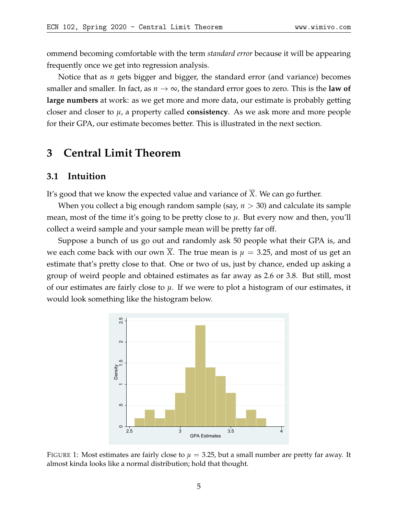ommend becoming comfortable with the term *standard error* because it will be appearing frequently once we get into regression analysis.

Notice that as *n* gets bigger and bigger, the standard error (and variance) becomes smaller and smaller. In fact, as  $n \to \infty$ , the standard error goes to zero. This is the **law of large numbers** at work: as we get more and more data, our estimate is probably getting closer and closer to *µ*, a property called **consistency**. As we ask more and more people for their GPA, our estimate becomes better. This is illustrated in the next section.

# **3 Central Limit Theorem**

### **3.1 Intuition**

It's good that we know the expected value and variance of  $\overline{X}$ . We can go further.

When you collect a big enough random sample (say, *n* > 30) and calculate its sample mean, most of the time it's going to be pretty close to  $\mu$ . But every now and then, you'll collect a weird sample and your sample mean will be pretty far off.

Suppose a bunch of us go out and randomly ask 50 people what their GPA is, and we each come back with our own *X*. The true mean is  $\mu = 3.25$ , and most of us get an estimate that's pretty close to that. One or two of us, just by chance, ended up asking a group of weird people and obtained estimates as far away as 2.6 or 3.8. But still, most of our estimates are fairly close to *µ*. If we were to plot a histogram of our estimates, it would look something like the histogram below.



FIGURE 1: Most estimates are fairly close to  $\mu = 3.25$ , but a small number are pretty far away. It almost kinda looks like a normal distribution; hold that thought.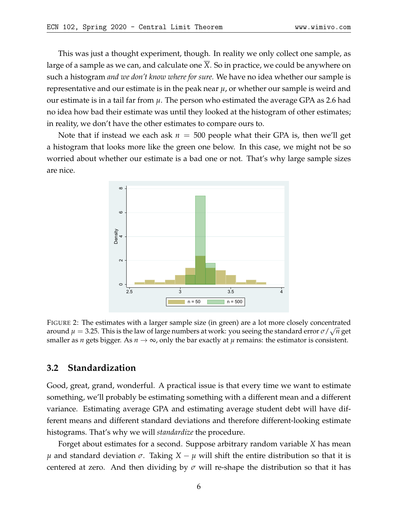This was just a thought experiment, though. In reality we only collect one sample, as large of a sample as we can, and calculate one *X*. So in practice, we could be anywhere on such a histogram *and we don't know where for sure.* We have no idea whether our sample is representative and our estimate is in the peak near  $\mu$ , or whether our sample is weird and our estimate is in a tail far from *µ*. The person who estimated the average GPA as 2.6 had no idea how bad their estimate was until they looked at the histogram of other estimates; in reality, we don't have the other estimates to compare ours to.

Note that if instead we each ask  $n = 500$  people what their GPA is, then we'll get a histogram that looks more like the green one below. In this case, we might not be so worried about whether our estimate is a bad one or not. That's why large sample sizes are nice.



FIGURE 2: The estimates with a larger sample size (in green) are a lot more closely concentrated around  $\mu=$  3.25. This is the law of large numbers at work: you seeing the standard error  $\sigma/\sqrt{n}$  get smaller as *n* gets bigger. As  $n \to \infty$ , only the bar exactly at  $\mu$  remains: the estimator is consistent.

### **3.2 Standardization**

Good, great, grand, wonderful. A practical issue is that every time we want to estimate something, we'll probably be estimating something with a different mean and a different variance. Estimating average GPA and estimating average student debt will have different means and different standard deviations and therefore different-looking estimate histograms. That's why we will *standardize* the procedure.

Forget about estimates for a second. Suppose arbitrary random variable *X* has mean *μ* and standard deviation *σ*. Taking  $X - μ$  will shift the entire distribution so that it is centered at zero. And then dividing by  $\sigma$  will re-shape the distribution so that it has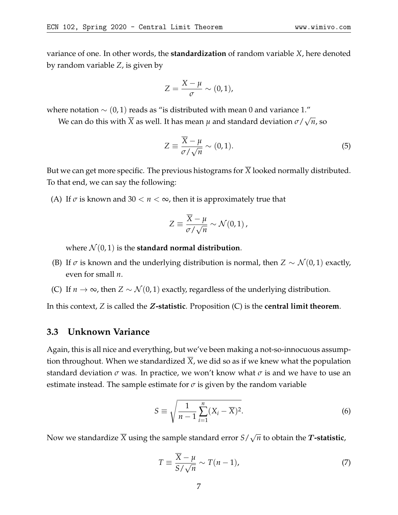variance of one. In other words, the **standardization** of random variable *X*, here denoted by random variable *Z*, is given by

$$
Z=\frac{X-\mu}{\sigma}\sim(0,1),
$$

where notation  $\sim$  (0, 1) reads as "is distributed with mean 0 and variance 1."

We can do this with *X* as well. It has mean *µ* and standard deviation *σ*/ √ *n*, so

$$
Z \equiv \frac{\overline{X} - \mu}{\sigma / \sqrt{n}} \sim (0, 1). \tag{5}
$$

But we can get more specific. The previous histograms for  $\overline{X}$  looked normally distributed. To that end, we can say the following:

(A) If  $\sigma$  is known and 30  $< n < \infty$ , then it is approximately true that

$$
Z \equiv \frac{\overline{X} - \mu}{\sigma / \sqrt{n}} \sim \mathcal{N}(0, 1) ,
$$

where  $\mathcal{N}(0, 1)$  is the **standard normal distribution**.

- (B) If  $\sigma$  is known and the underlying distribution is normal, then  $Z \sim \mathcal{N}(0, 1)$  exactly, even for small *n*.
- (C) If *n*  $\rightarrow \infty$ , then *Z* ∼  $\mathcal{N}(0, 1)$  exactly, regardless of the underlying distribution.

In this context, *Z* is called the Z**-statistic**. Proposition (C) is the **central limit theorem**.

#### **3.3 Unknown Variance**

Again, this is all nice and everything, but we've been making a not-so-innocuous assumption throughout. When we standardized  $\overline{X}$ , we did so as if we knew what the population standard deviation  $\sigma$  was. In practice, we won't know what  $\sigma$  is and we have to use an estimate instead. The sample estimate for  $\sigma$  is given by the random variable

$$
S \equiv \sqrt{\frac{1}{n-1} \sum_{i=1}^{n} (X_i - \overline{X})^2}.
$$
 (6)

Now we standardize *X* using the sample standard error *S*/ √  $\overline{n}$  to obtain the  $\boldsymbol{T}$ **-statistic**,

$$
T \equiv \frac{\overline{X} - \mu}{S / \sqrt{n}} \sim T(n - 1),\tag{7}
$$